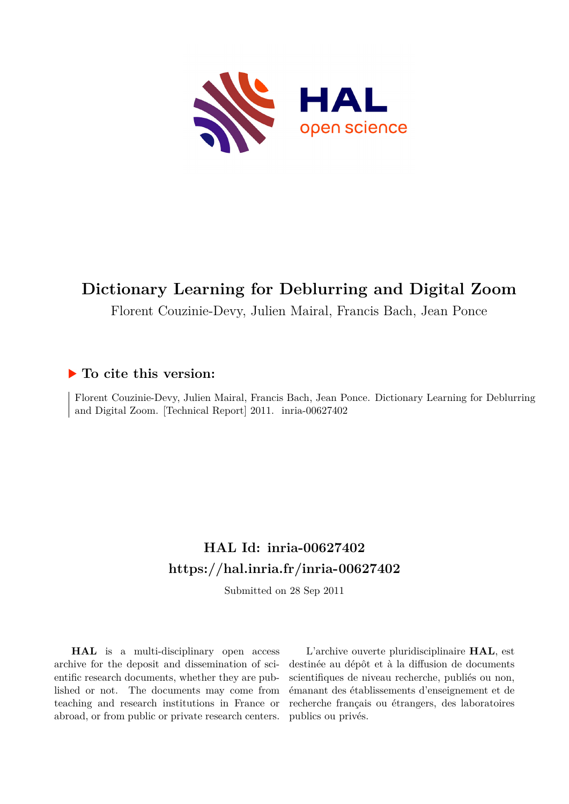

# **Dictionary Learning for Deblurring and Digital Zoom**

Florent Couzinie-Devy, Julien Mairal, Francis Bach, Jean Ponce

## **To cite this version:**

Florent Couzinie-Devy, Julien Mairal, Francis Bach, Jean Ponce. Dictionary Learning for Deblurring and Digital Zoom. [Technical Report] 2011. inria-00627402

# **HAL Id: inria-00627402 <https://hal.inria.fr/inria-00627402>**

Submitted on 28 Sep 2011

**HAL** is a multi-disciplinary open access archive for the deposit and dissemination of scientific research documents, whether they are published or not. The documents may come from teaching and research institutions in France or abroad, or from public or private research centers.

L'archive ouverte pluridisciplinaire **HAL**, est destinée au dépôt et à la diffusion de documents scientifiques de niveau recherche, publiés ou non, émanant des établissements d'enseignement et de recherche français ou étrangers, des laboratoires publics ou privés.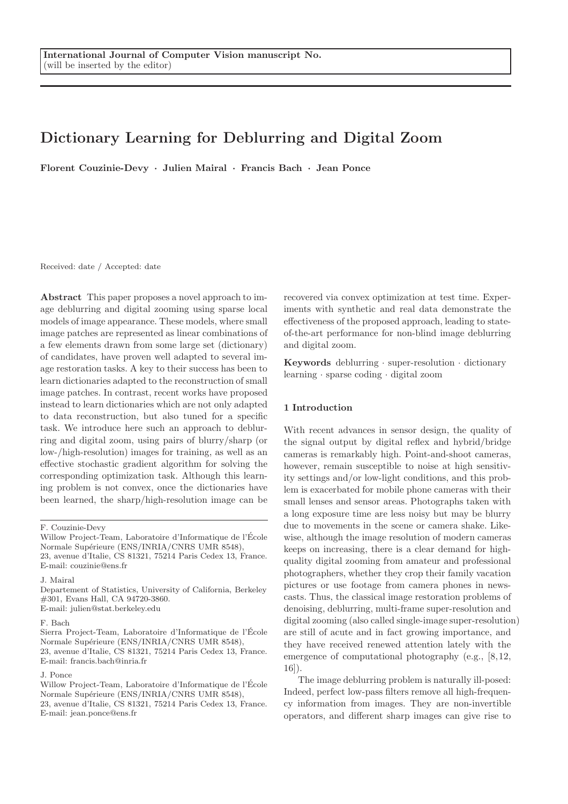# Dictionary Learning for Deblurring and Digital Zoom

Florent Couzinie-Devy · Julien Mairal · Francis Bach · Jean Ponce

Received: date / Accepted: date

Abstract This paper proposes a novel approach to image deblurring and digital zooming using sparse local models of image appearance. These models, where small image patches are represented as linear combinations of a few elements drawn from some large set (dictionary) of candidates, have proven well adapted to several image restoration tasks. A key to their success has been to learn dictionaries adapted to the reconstruction of small image patches. In contrast, recent works have proposed instead to learn dictionaries which are not only adapted to data reconstruction, but also tuned for a specific task. We introduce here such an approach to deblurring and digital zoom, using pairs of blurry/sharp (or low-/high-resolution) images for training, as well as an effective stochastic gradient algorithm for solving the corresponding optimization task. Although this learning problem is not convex, once the dictionaries have been learned, the sharp/high-resolution image can be

J. Mairal

Departement of Statistics, University of California, Berkeley #301, Evans Hall, CA 94720-3860. E-mail: julien@stat.berkeley.edu

#### F. Bach

Sierra Project-Team, Laboratoire d'Informatique de l'Ecole ´ Normale Supérieure (ENS/INRIA/CNRS UMR 8548), 23, avenue d'Italie, CS 81321, 75214 Paris Cedex 13, France. E-mail: francis.bach@inria.fr

#### J. Ponce

recovered via convex optimization at test time. Experiments with synthetic and real data demonstrate the effectiveness of the proposed approach, leading to stateof-the-art performance for non-blind image deblurring and digital zoom.

Keywords deblurring  $\cdot$  super-resolution  $\cdot$  dictionary learning · sparse coding · digital zoom

## 1 Introduction

With recent advances in sensor design, the quality of the signal output by digital reflex and hybrid/bridge cameras is remarkably high. Point-and-shoot cameras, however, remain susceptible to noise at high sensitivity settings and/or low-light conditions, and this problem is exacerbated for mobile phone cameras with their small lenses and sensor areas. Photographs taken with a long exposure time are less noisy but may be blurry due to movements in the scene or camera shake. Likewise, although the image resolution of modern cameras keeps on increasing, there is a clear demand for highquality digital zooming from amateur and professional photographers, whether they crop their family vacation pictures or use footage from camera phones in newscasts. Thus, the classical image restoration problems of denoising, deblurring, multi-frame super-resolution and digital zooming (also called single-image super-resolution) are still of acute and in fact growing importance, and they have received renewed attention lately with the emergence of computational photography (e.g., [8,12, 16]).

The image deblurring problem is naturally ill-posed: Indeed, perfect low-pass filters remove all high-frequency information from images. They are non-invertible operators, and different sharp images can give rise to

F. Couzinie-Devy

Willow Project-Team, Laboratoire d'Informatique de l'Ecole ´ Normale Supérieure (ENS/INRIA/CNRS UMR 8548), 23, avenue d'Italie, CS 81321, 75214 Paris Cedex 13, France. E-mail: couzinie@ens.fr

Willow Project-Team, Laboratoire d'Informatique de l'Ecole ´ Normale Supérieure (ENS/INRIA/CNRS UMR 8548), 23, avenue d'Italie, CS 81321, 75214 Paris Cedex 13, France. E-mail: jean.ponce@ens.fr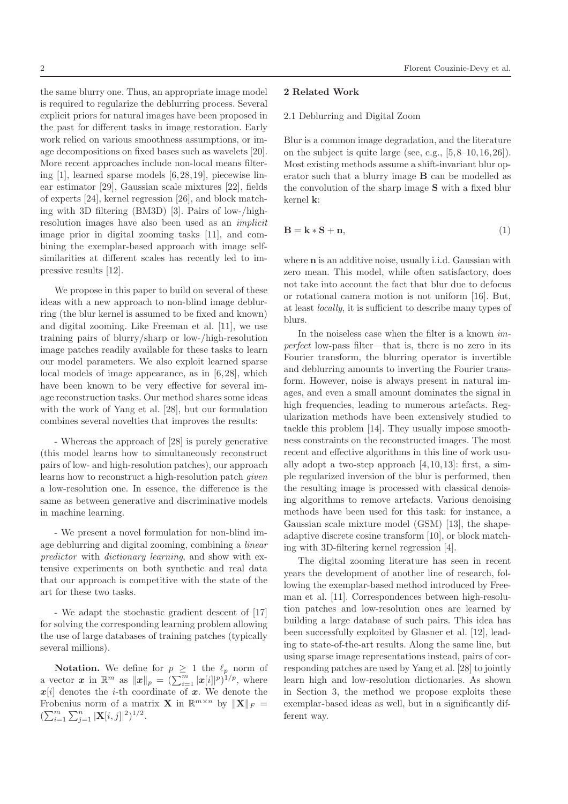the same blurry one. Thus, an appropriate image model is required to regularize the deblurring process. Several explicit priors for natural images have been proposed in the past for different tasks in image restoration. Early work relied on various smoothness assumptions, or image decompositions on fixed bases such as wavelets [20]. More recent approaches include non-local means filtering [1], learned sparse models [6,28,19], piecewise linear estimator [29], Gaussian scale mixtures [22], fields of experts [24], kernel regression [26], and block matching with 3D filtering (BM3D) [3]. Pairs of low-/highresolution images have also been used as an implicit image prior in digital zooming tasks [11], and combining the exemplar-based approach with image self-

We propose in this paper to build on several of these ideas with a new approach to non-blind image deblurring (the blur kernel is assumed to be fixed and known) and digital zooming. Like Freeman et al. [11], we use training pairs of blurry/sharp or low-/high-resolution image patches readily available for these tasks to learn our model parameters. We also exploit learned sparse local models of image appearance, as in [6,28], which have been known to be very effective for several image reconstruction tasks. Our method shares some ideas with the work of Yang et al. [28], but our formulation combines several novelties that improves the results:

similarities at different scales has recently led to im-

pressive results [12].

- Whereas the approach of [28] is purely generative (this model learns how to simultaneously reconstruct pairs of low- and high-resolution patches), our approach learns how to reconstruct a high-resolution patch given a low-resolution one. In essence, the difference is the same as between generative and discriminative models in machine learning.

- We present a novel formulation for non-blind image deblurring and digital zooming, combining a linear predictor with dictionary learning, and show with extensive experiments on both synthetic and real data that our approach is competitive with the state of the art for these two tasks.

- We adapt the stochastic gradient descent of [17] for solving the corresponding learning problem allowing the use of large databases of training patches (typically several millions).

**Notation.** We define for  $p \geq 1$  the  $\ell_p$  norm of a vector  $\boldsymbol{x}$  in  $\mathbb{R}^m$  as  $\|\boldsymbol{x}\|_p = \left(\sum_{i=1}^m |\boldsymbol{x}[i]|^p\right)^{1/p}$ , where  $x[i]$  denotes the *i*-th coordinate of x. We denote the Frobenius norm of a matrix **X** in  $\mathbb{R}^{m \times n}$  by  $\|\mathbf{X}\|_F =$  $(\sum_{i=1}^m \sum_{j=1}^n |\mathbf{X}[i,j]|^2)^{1/2}.$ 

### 2 Florent Couzinie-Devy et al.

# 2 Related Work

### 2.1 Deblurring and Digital Zoom

Blur is a common image degradation, and the literature on the subject is quite large (see, e.g.,  $[5,8-10,16,26]$ ). Most existing methods assume a shift-invariant blur operator such that a blurry image B can be modelled as the convolution of the sharp image S with a fixed blur kernel k:

$$
\mathbf{B} = \mathbf{k} * \mathbf{S} + \mathbf{n},\tag{1}
$$

where n is an additive noise, usually i.i.d. Gaussian with zero mean. This model, while often satisfactory, does not take into account the fact that blur due to defocus or rotational camera motion is not uniform [16]. But, at least locally, it is sufficient to describe many types of blurs.

In the noiseless case when the filter is a known imperfect low-pass filter—that is, there is no zero in its Fourier transform, the blurring operator is invertible and deblurring amounts to inverting the Fourier transform. However, noise is always present in natural images, and even a small amount dominates the signal in high frequencies, leading to numerous artefacts. Regularization methods have been extensively studied to tackle this problem [14]. They usually impose smoothness constraints on the reconstructed images. The most recent and effective algorithms in this line of work usually adopt a two-step approach [4,10,13]: first, a simple regularized inversion of the blur is performed, then the resulting image is processed with classical denoising algorithms to remove artefacts. Various denoising methods have been used for this task: for instance, a Gaussian scale mixture model (GSM) [13], the shapeadaptive discrete cosine transform [10], or block matching with 3D-filtering kernel regression [4].

The digital zooming literature has seen in recent years the development of another line of research, following the exemplar-based method introduced by Freeman et al. [11]. Correspondences between high-resolution patches and low-resolution ones are learned by building a large database of such pairs. This idea has been successfully exploited by Glasner et al. [12], leading to state-of-the-art results. Along the same line, but using sparse image representations instead, pairs of corresponding patches are used by Yang et al. [28] to jointly learn high and low-resolution dictionaries. As shown in Section 3, the method we propose exploits these exemplar-based ideas as well, but in a significantly different way.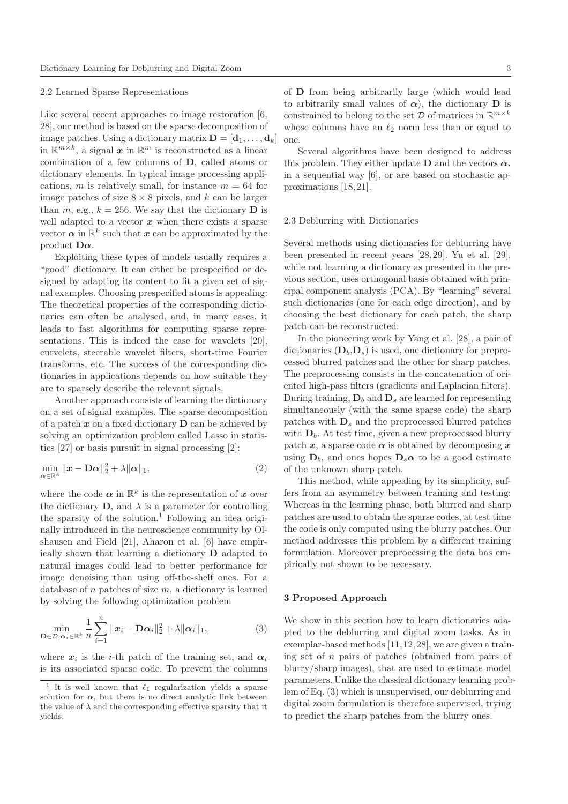#### 2.2 Learned Sparse Representations

Like several recent approaches to image restoration [6, 28], our method is based on the sparse decomposition of image patches. Using a dictionary matrix  $\mathbf{D} = [\mathbf{d}_1, \dots, \mathbf{d}_k]$ in  $\mathbb{R}^{m \times k}$ , a signal  $\boldsymbol{x}$  in  $\mathbb{R}^m$  is reconstructed as a linear combination of a few columns of D, called atoms or dictionary elements. In typical image processing applications, m is relatively small, for instance  $m = 64$  for image patches of size  $8 \times 8$  pixels, and k can be larger than m, e.g.,  $k = 256$ . We say that the dictionary **D** is well adapted to a vector  $x$  when there exists a sparse vector  $\boldsymbol{\alpha}$  in  $\mathbb{R}^k$  such that  $\boldsymbol{x}$  can be approximated by the product  $\mathbf{D}\alpha$ .

Exploiting these types of models usually requires a "good" dictionary. It can either be prespecified or designed by adapting its content to fit a given set of signal examples. Choosing prespecified atoms is appealing: The theoretical properties of the corresponding dictionaries can often be analysed, and, in many cases, it leads to fast algorithms for computing sparse representations. This is indeed the case for wavelets [20], curvelets, steerable wavelet filters, short-time Fourier transforms, etc. The success of the corresponding dictionaries in applications depends on how suitable they are to sparsely describe the relevant signals.

Another approach consists of learning the dictionary on a set of signal examples. The sparse decomposition of a patch  $x$  on a fixed dictionary  $D$  can be achieved by solving an optimization problem called Lasso in statistics [27] or basis pursuit in signal processing [2]:

$$
\min_{\alpha \in \mathbb{R}^k} \|x - \mathbf{D}\alpha\|_2^2 + \lambda \|\alpha\|_1,\tag{2}
$$

where the code  $\alpha$  in  $\mathbb{R}^k$  is the representation of  $x$  over the dictionary  $\mathbf{D}$ , and  $\lambda$  is a parameter for controlling the sparsity of the solution.<sup>1</sup> Following an idea originally introduced in the neuroscience community by Olshausen and Field [21], Aharon et al. [6] have empirically shown that learning a dictionary D adapted to natural images could lead to better performance for image denoising than using off-the-shelf ones. For a database of  $n$  patches of size  $m$ , a dictionary is learned by solving the following optimization problem

$$
\min_{\mathbf{D}\in\mathcal{D},\boldsymbol{\alpha}_i\in\mathbb{R}^k} \frac{1}{n}\sum_{i=1}^n \|\boldsymbol{x}_i - \mathbf{D}\boldsymbol{\alpha}_i\|_2^2 + \lambda \|\boldsymbol{\alpha}_i\|_1,\tag{3}
$$

where  $x_i$  is the *i*-th patch of the training set, and  $\alpha_i$ is its associated sparse code. To prevent the columns

Several algorithms have been designed to address this problem. They either update **D** and the vectors  $\alpha_i$ in a sequential way [6], or are based on stochastic approximations [18,21].

#### 2.3 Deblurring with Dictionaries

Several methods using dictionaries for deblurring have been presented in recent years [28,29]. Yu et al. [29], while not learning a dictionary as presented in the previous section, uses orthogonal basis obtained with principal component analysis (PCA). By "learning" several such dictionaries (one for each edge direction), and by choosing the best dictionary for each patch, the sharp patch can be reconstructed.

In the pioneering work by Yang et al. [28], a pair of dictionaries  $(D_h, D_s)$  is used, one dictionary for preprocessed blurred patches and the other for sharp patches. The preprocessing consists in the concatenation of oriented high-pass filters (gradients and Laplacian filters). During training,  $D_b$  and  $D_s$  are learned for representing simultaneously (with the same sparse code) the sharp patches with  $D_s$  and the preprocessed blurred patches with  $D_b$ . At test time, given a new preprocessed blurry patch x, a sparse code  $\alpha$  is obtained by decomposing x using  $D_b$ , and ones hopes  $D_s \alpha$  to be a good estimate of the unknown sharp patch.

This method, while appealing by its simplicity, suffers from an asymmetry between training and testing: Whereas in the learning phase, both blurred and sharp patches are used to obtain the sparse codes, at test time the code is only computed using the blurry patches. Our method addresses this problem by a different training formulation. Moreover preprocessing the data has empirically not shown to be necessary.

#### 3 Proposed Approach

We show in this section how to learn dictionaries adapted to the deblurring and digital zoom tasks. As in exemplar-based methods [11,12,28], we are given a training set of  $n$  pairs of patches (obtained from pairs of blurry/sharp images), that are used to estimate model parameters. Unlike the classical dictionary learning problem of Eq. (3) which is unsupervised, our deblurring and digital zoom formulation is therefore supervised, trying to predict the sharp patches from the blurry ones.

<sup>&</sup>lt;sup>1</sup> It is well known that  $\ell_1$  regularization yields a sparse solution for  $\alpha$ , but there is no direct analytic link between the value of  $\lambda$  and the corresponding effective sparsity that it yields.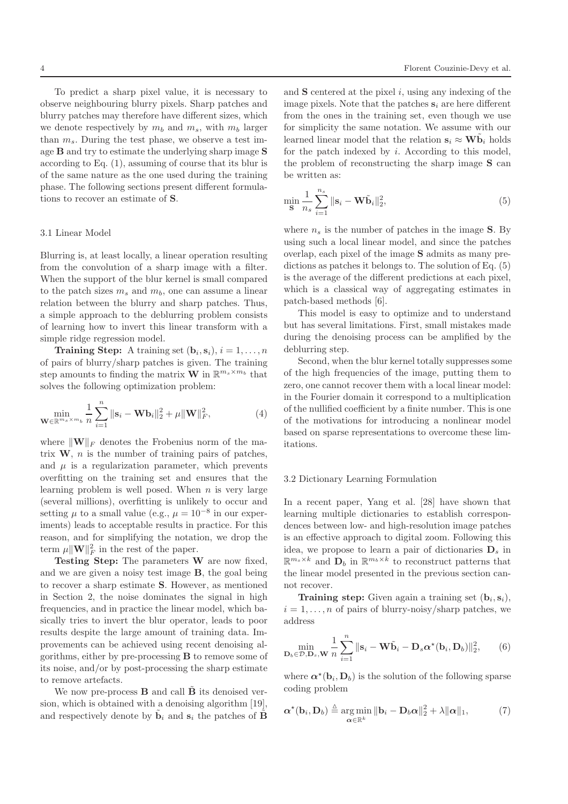To predict a sharp pixel value, it is necessary to observe neighbouring blurry pixels. Sharp patches and blurry patches may therefore have different sizes, which we denote respectively by  $m_b$  and  $m_s$ , with  $m_b$  larger than  $m_s$ . During the test phase, we observe a test image B and try to estimate the underlying sharp image S according to Eq. (1), assuming of course that its blur is of the same nature as the one used during the training phase. The following sections present different formulations to recover an estimate of S.

#### 3.1 Linear Model

Blurring is, at least locally, a linear operation resulting from the convolution of a sharp image with a filter. When the support of the blur kernel is small compared to the patch sizes  $m_s$  and  $m_b$ , one can assume a linear relation between the blurry and sharp patches. Thus, a simple approach to the deblurring problem consists of learning how to invert this linear transform with a simple ridge regression model.

**Training Step:** A training set  $(\mathbf{b}_i, \mathbf{s}_i), i = 1, \ldots, n$ of pairs of blurry/sharp patches is given. The training step amounts to finding the matrix **W** in  $\mathbb{R}^{m_s \times m_b}$  that solves the following optimization problem:

$$
\min_{\mathbf{W} \in \mathbb{R}^{m_s \times m_b}} \frac{1}{n} \sum_{i=1}^n \|\mathbf{s}_i - \mathbf{W} \mathbf{b}_i\|_2^2 + \mu \|\mathbf{W}\|_F^2, \tag{4}
$$

where  $\|\mathbf{W}\|_F$  denotes the Frobenius norm of the matrix  $W$ , *n* is the number of training pairs of patches, and  $\mu$  is a regularization parameter, which prevents overfitting on the training set and ensures that the learning problem is well posed. When  $n$  is very large (several millions), overfitting is unlikely to occur and setting  $\mu$  to a small value (e.g.,  $\mu = 10^{-8}$  in our experiments) leads to acceptable results in practice. For this reason, and for simplifying the notation, we drop the term  $\mu ||\mathbf{W}||_F^2$  in the rest of the paper.

Testing Step: The parameters W are now fixed, and we are given a noisy test image B, the goal being to recover a sharp estimate S. However, as mentioned in Section 2, the noise dominates the signal in high frequencies, and in practice the linear model, which basically tries to invert the blur operator, leads to poor results despite the large amount of training data. Improvements can be achieved using recent denoising algorithms, either by pre-processing B to remove some of its noise, and/or by post-processing the sharp estimate to remove artefacts.

We now pre-process  $\bf{B}$  and call  $\bf{B}$  its denoised version, which is obtained with a denoising algorithm [19], and respectively denote by  $\tilde{\mathbf{b}}_i$  and  $\mathbf{s}_i$  the patches of  $\tilde{\mathbf{B}}$  and  $S$  centered at the pixel  $i$ , using any indexing of the image pixels. Note that the patches  $s_i$  are here different from the ones in the training set, even though we use for simplicity the same notation. We assume with our learned linear model that the relation  $\mathbf{s}_i \approx \mathbf{W} \tilde{\mathbf{b}}_i$  holds for the patch indexed by  $i$ . According to this model, the problem of reconstructing the sharp image S can be written as:

$$
\min_{\mathbf{S}} \frac{1}{n_s} \sum_{i=1}^{n_s} \|\mathbf{s}_i - \mathbf{W}\tilde{\mathbf{b}}_i\|_2^2, \tag{5}
$$

where  $n<sub>s</sub>$  is the number of patches in the image S. By using such a local linear model, and since the patches overlap, each pixel of the image S admits as many predictions as patches it belongs to. The solution of Eq. (5) is the average of the different predictions at each pixel, which is a classical way of aggregating estimates in patch-based methods [6].

This model is easy to optimize and to understand but has several limitations. First, small mistakes made during the denoising process can be amplified by the deblurring step.

Second, when the blur kernel totally suppresses some of the high frequencies of the image, putting them to zero, one cannot recover them with a local linear model: in the Fourier domain it correspond to a multiplication of the nullified coefficient by a finite number. This is one of the motivations for introducing a nonlinear model based on sparse representations to overcome these limitations.

#### 3.2 Dictionary Learning Formulation

In a recent paper, Yang et al. [28] have shown that learning multiple dictionaries to establish correspondences between low- and high-resolution image patches is an effective approach to digital zoom. Following this idea, we propose to learn a pair of dictionaries  $D_s$  in  $\mathbb{R}^{m_s \times k}$  and  $\mathbf{D}_b$  in  $\mathbb{R}^{m_b \times k}$  to reconstruct patterns that the linear model presented in the previous section cannot recover.

**Training step:** Given again a training set  $(b_i, s_i)$ ,  $i = 1, \ldots, n$  of pairs of blurry-noisy/sharp patches, we address

$$
\min_{\mathbf{D}_b \in \mathcal{D}, \mathbf{D}_s, \mathbf{W}} \frac{1}{n} \sum_{i=1}^n \|\mathbf{s}_i - \mathbf{W}\tilde{\mathbf{b}}_i - \mathbf{D}_s \alpha^{\star}(\mathbf{b}_i, \mathbf{D}_b)\|_2^2, \qquad (6)
$$

where  $\alpha^*(b_i, D_b)$  is the solution of the following sparse coding problem

$$
\boldsymbol{\alpha}^{\star}(\mathbf{b}_i, \mathbf{D}_b) \stackrel{\Delta}{=} \underset{\boldsymbol{\alpha} \in \mathbb{R}^k}{\arg \min} \|\mathbf{b}_i - \mathbf{D}_b \boldsymbol{\alpha}\|_2^2 + \lambda \|\boldsymbol{\alpha}\|_1, \tag{7}
$$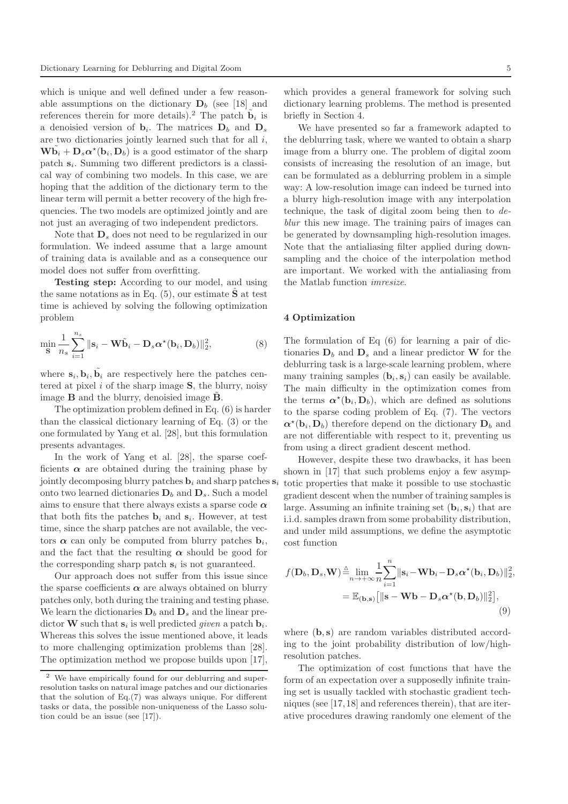which is unique and well defined under a few reasonable assumptions on the dictionary  $D_b$  (see [18] and references therein for more details).<sup>2</sup> The patch  $\tilde{\mathbf{b}}_i$  is a denoisied version of  $\mathbf{b}_i$ . The matrices  $\mathbf{D}_b$  and  $\mathbf{D}_s$ are two dictionaries jointly learned such that for all i,  $\mathbf{W}\tilde{\mathbf{b}}_i + \mathbf{D}_s \alpha^{\star}(\mathbf{b}_i, \mathbf{D}_b)$  is a good estimator of the sharp patch  $s_i$ . Summing two different predictors is a classical way of combining two models. In this case, we are hoping that the addition of the dictionary term to the linear term will permit a better recovery of the high frequencies. The two models are optimized jointly and are not just an averaging of two independent predictors.

Note that  $\mathbf{D}_s$  does not need to be regularized in our formulation. We indeed assume that a large amount of training data is available and as a consequence our model does not suffer from overfitting.

Testing step: According to our model, and using the same notations as in Eq.  $(5)$ , our estimate **S** at test time is achieved by solving the following optimization problem

$$
\min_{\mathbf{S}} \frac{1}{n_s} \sum_{i=1}^{n_s} \|\mathbf{s}_i - \mathbf{W}\tilde{\mathbf{b}}_i - \mathbf{D}_s \boldsymbol{\alpha}^{\star}(\mathbf{b}_i, \mathbf{D}_b)\|_2^2, \tag{8}
$$

where  $\mathbf{s}_i, \mathbf{b}_i, \tilde{\mathbf{b}}_i$  are respectively here the patches centered at pixel  $i$  of the sharp image  $S$ , the blurry, noisy image  $\bf{B}$  and the blurry, denoisied image  $\bf{B}$ .

The optimization problem defined in Eq. (6) is harder than the classical dictionary learning of Eq. (3) or the one formulated by Yang et al. [28], but this formulation presents advantages.

In the work of Yang et al. [28], the sparse coefficients  $\alpha$  are obtained during the training phase by jointly decomposing blurry patches  $\mathbf{b}_i$  and sharp patches  $\mathbf{s}_i$ onto two learned dictionaries  $D_b$  and  $D_s$ . Such a model aims to ensure that there always exists a sparse code  $\alpha$ that both fits the patches  $\mathbf{b}_i$  and  $\mathbf{s}_i$ . However, at test time, since the sharp patches are not available, the vectors  $\alpha$  can only be computed from blurry patches  $\mathbf{b}_i$ , and the fact that the resulting  $\alpha$  should be good for the corresponding sharp patch  $s_i$  is not guaranteed.

Our approach does not suffer from this issue since the sparse coefficients  $\alpha$  are always obtained on blurry patches only, both during the training and testing phase. We learn the dictionaries  $\mathbf{D}_b$  and  $\mathbf{D}_s$  and the linear predictor **W** such that  $s_i$  is well predicted *given* a patch  $b_i$ . Whereas this solves the issue mentioned above, it leads to more challenging optimization problems than [28]. The optimization method we propose builds upon [17],

which provides a general framework for solving such dictionary learning problems. The method is presented briefly in Section 4.

We have presented so far a framework adapted to the deblurring task, where we wanted to obtain a sharp image from a blurry one. The problem of digital zoom consists of increasing the resolution of an image, but can be formulated as a deblurring problem in a simple way: A low-resolution image can indeed be turned into a blurry high-resolution image with any interpolation technique, the task of digital zoom being then to deblur this new image. The training pairs of images can be generated by downsampling high-resolution images. Note that the antialiasing filter applied during downsampling and the choice of the interpolation method are important. We worked with the antialiasing from the Matlab function imresize.

### 4 Optimization

The formulation of Eq (6) for learning a pair of dictionaries  $D_b$  and  $D_s$  and a linear predictor W for the deblurring task is a large-scale learning problem, where many training samples  $(\mathbf{b}_i, \mathbf{s}_i)$  can easily be available. The main difficulty in the optimization comes from the terms  $\alpha^*(b_i, D_b)$ , which are defined as solutions to the sparse coding problem of Eq. (7). The vectors  $\alpha^*(b_i, D_b)$  therefore depend on the dictionary  $D_b$  and are not differentiable with respect to it, preventing us from using a direct gradient descent method.

However, despite these two drawbacks, it has been shown in [17] that such problems enjoy a few asymptotic properties that make it possible to use stochastic gradient descent when the number of training samples is large. Assuming an infinite training set  $(b_i, s_i)$  that are i.i.d. samples drawn from some probability distribution, and under mild assumptions, we define the asymptotic cost function

$$
f(\mathbf{D}_b, \mathbf{D}_s, \mathbf{W}) \stackrel{\Delta}{=} \lim_{n \to +\infty} \frac{1}{n} \sum_{i=1}^n ||\mathbf{s}_i - \mathbf{W} \mathbf{b}_i - \mathbf{D}_s \alpha^{\star}(\mathbf{b}_i, \mathbf{D}_b)||_2^2,
$$
  
=  $\mathbb{E}_{(\mathbf{b}, \mathbf{s})} [||\mathbf{s} - \mathbf{W} \mathbf{b} - \mathbf{D}_s \alpha^{\star}(\mathbf{b}, \mathbf{D}_b)||_2^2],$  (9)

where  $(b, s)$  are random variables distributed according to the joint probability distribution of low/highresolution patches.

The optimization of cost functions that have the form of an expectation over a supposedly infinite training set is usually tackled with stochastic gradient techniques (see [17,18] and references therein), that are iterative procedures drawing randomly one element of the

<sup>2</sup> We have empirically found for our deblurring and superresolution tasks on natural image patches and our dictionaries that the solution of Eq.(7) was always unique. For different tasks or data, the possible non-uniqueness of the Lasso solution could be an issue (see [17]).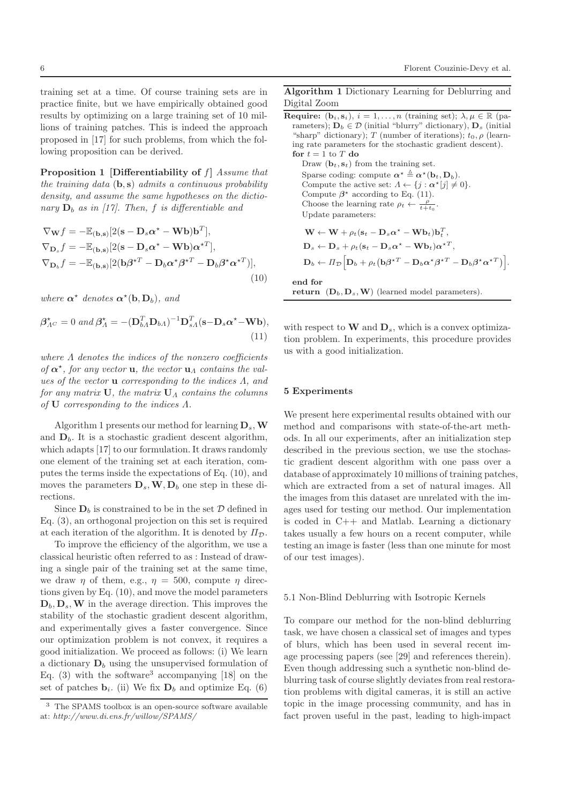training set at a time. Of course training sets are in practice finite, but we have empirically obtained good results by optimizing on a large training set of 10 millions of training patches. This is indeed the approach proposed in [17] for such problems, from which the following proposition can be derived.

Proposition 1 [Differentiability of f] Assume that the training data  $(b, s)$  admits a continuous probability density, and assume the same hypotheses on the dictionary  $D_b$  as in [17]. Then, f is differentiable and

$$
\nabla_{\mathbf{W}} f = -\mathbb{E}_{(\mathbf{b}, \mathbf{s})} [2(\mathbf{s} - \mathbf{D}_s \alpha^* - \mathbf{W} \mathbf{b}) \mathbf{b}^T],
$$
  
\n
$$
\nabla_{\mathbf{D}_s} f = -\mathbb{E}_{(\mathbf{b}, \mathbf{s})} [2(\mathbf{s} - \mathbf{D}_s \alpha^* - \mathbf{W} \mathbf{b}) \alpha^{*T}],
$$
  
\n
$$
\nabla_{\mathbf{D}_b} f = -\mathbb{E}_{(\mathbf{b}, \mathbf{s})} [2(\mathbf{b} \beta^{*T} - \mathbf{D}_b \alpha^* \beta^{*T} - \mathbf{D}_b \beta^* \alpha^{*T})],
$$
\n(10)

where  $\alpha^*$  denotes  $\alpha^*(b, D_b)$ , and

$$
\beta_{\Lambda^C}^* = 0 \text{ and } \beta_{\Lambda}^* = -(\mathbf{D}_{b\Lambda}^T \mathbf{D}_{b\Lambda})^{-1} \mathbf{D}_{s\Lambda}^T (\mathbf{s} - \mathbf{D}_s \alpha^* - \mathbf{W} \mathbf{b}),
$$
\n(11)

where  $\Lambda$  denotes the indices of the nonzero coefficients of  $\alpha^*$ , for any vector **u**, the vector **u**<sub> $\Lambda$ </sub> contains the values of the vector  $\bf{u}$  corresponding to the indices  $\Lambda$ , and for any matrix  $U$ , the matrix  $U_A$  contains the columns of U corresponding to the indices Λ.

Algorithm 1 presents our method for learning  $D_s$ , W and  $D_b$ . It is a stochastic gradient descent algorithm, which adapts [17] to our formulation. It draws randomly one element of the training set at each iteration, computes the terms inside the expectations of Eq. (10), and moves the parameters  $\mathbf{D}_s$ ,  $\mathbf{W}, \mathbf{D}_b$  one step in these directions.

Since  $\mathbf{D}_b$  is constrained to be in the set  $\mathcal{D}$  defined in Eq. (3), an orthogonal projection on this set is required at each iteration of the algorithm. It is denoted by  $\Pi_{\mathcal{D}}$ .

To improve the efficiency of the algorithm, we use a classical heuristic often referred to as : Instead of drawing a single pair of the training set at the same time, we draw  $\eta$  of them, e.g.,  $\eta = 500$ , compute  $\eta$  directions given by Eq. (10), and move the model parameters  $\mathbf{D}_b$ ,  $\mathbf{D}_s$ , W in the average direction. This improves the stability of the stochastic gradient descent algorithm, and experimentally gives a faster convergence. Since our optimization problem is not convex, it requires a good initialization. We proceed as follows: (i) We learn a dictionary  $D_b$  using the unsupervised formulation of Eq. (3) with the software<sup>3</sup> accompanying [18] on the set of patches  $\mathbf{b}_i$ . (ii) We fix  $\mathbf{D}_b$  and optimize Eq. (6)

Algorithm 1 Dictionary Learning for Deblurring and Digital Zoom

Require:  $(b_i, s_i), i = 1, ..., n$  (training set);  $\lambda, \mu \in \mathbb{R}$  (parameters);  $D_b \in \mathcal{D}$  (initial "blurry" dictionary),  $D_s$  (initial "sharp" dictionary); T (number of iterations);  $t_0$ ,  $\rho$  (learning rate parameters for the stochastic gradient descent). for  $t = 1$  to T do

Draw  $(\mathbf{b}_t, \mathbf{s}_t)$  from the training set. Sparse coding: compute  $\alpha^* \triangleq \alpha^*(\mathbf{b}_t, \mathbf{D}_b)$ . Compute the active set:  $\Lambda \leftarrow \{j : \alpha^*[j] \neq 0\}.$ Compute  $\beta^*$  according to Eq. (11). Choose the learning rate  $\rho_t \leftarrow \frac{\rho}{t+t_0}$ . Update parameters:

$$
\mathbf{W} \leftarrow \mathbf{W} + \rho_t (\mathbf{s}_t - \mathbf{D}_s \alpha^* - \mathbf{W} \mathbf{b}_t) \mathbf{b}_t^T,
$$
  
\n
$$
\mathbf{D}_s \leftarrow \mathbf{D}_s + \rho_t (\mathbf{s}_t - \mathbf{D}_s \alpha^* - \mathbf{W} \mathbf{b}_t) \alpha^{*T},
$$
  
\n
$$
\mathbf{D}_b \leftarrow H_{\mathcal{D}} \Big[ \mathbf{D}_b + \rho_t (\mathbf{b} \beta^{*T} - \mathbf{D}_b \alpha^* \beta^{*T} - \mathbf{D}_b \beta^* \alpha^{*T}) \Big].
$$

end for

return 
$$
(D_b, D_s, W)
$$
 (learned model parameters).

with respect to  $\mathbf{W}$  and  $\mathbf{D}_s$ , which is a convex optimization problem. In experiments, this procedure provides us with a good initialization.

### 5 Experiments

We present here experimental results obtained with our method and comparisons with state-of-the-art methods. In all our experiments, after an initialization step described in the previous section, we use the stochastic gradient descent algorithm with one pass over a database of approximately 10 millions of training patches, which are extracted from a set of natural images. All the images from this dataset are unrelated with the images used for testing our method. Our implementation is coded in C++ and Matlab. Learning a dictionary takes usually a few hours on a recent computer, while testing an image is faster (less than one minute for most of our test images).

#### 5.1 Non-Blind Deblurring with Isotropic Kernels

To compare our method for the non-blind deblurring task, we have chosen a classical set of images and types of blurs, which has been used in several recent image processing papers (see [29] and references therein). Even though addressing such a synthetic non-blind deblurring task of course slightly deviates from real restoration problems with digital cameras, it is still an active topic in the image processing community, and has in fact proven useful in the past, leading to high-impact

<sup>3</sup> The SPAMS toolbox is an open-source software available at: *http://www.di.ens.fr/willow/SPAMS/*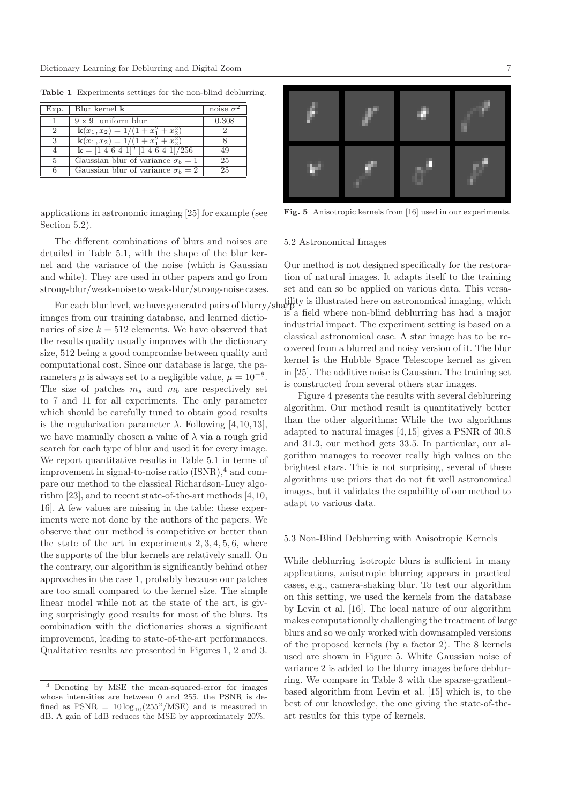| Exp.          | Blur kernel <b>k</b>                                      | noise $\sigma^2$ |
|---------------|-----------------------------------------------------------|------------------|
|               | $9 \times 9$ uniform blur                                 | 0.308            |
| $\mathcal{D}$ | $k(x_1, x_2) = 1/(1 + x_1^2 + x_2^2)$                     |                  |
| $\mathcal{R}$ | $k(x_1, x_2) = 1/(1 + x_1^2 + x_2^2)$                     |                  |
|               | ${\bf k} = [1 \ 4 \ 6 \ 4 \ 1]^T [1 \ 4 \ 6 \ 4 \ 1]/256$ | 49               |
|               | Gaussian blur of variance $\sigma_b = 1$                  | 25               |
|               | Gaussian blur of variance $\sigma_h = 2$                  | 25               |

Table 1 Experiments settings for the non-blind deblurring.

applications in astronomic imaging [25] for example (see Section 5.2).

The different combinations of blurs and noises are detailed in Table 5.1, with the shape of the blur kernel and the variance of the noise (which is Gaussian and white). They are used in other papers and go from strong-blur/weak-noise to weak-blur/strong-noise cases.

images from our training database, and learned dictionaries of size  $k = 512$  elements. We have observed that the results quality usually improves with the dictionary size, 512 being a good compromise between quality and computational cost. Since our database is large, the parameters  $\mu$  is always set to a negligible value,  $\mu = 10^{-8}$ . The size of patches  $m_s$  and  $m_b$  are respectively set to 7 and 11 for all experiments. The only parameter which should be carefully tuned to obtain good results is the regularization parameter  $\lambda$ . Following [4,10,13], we have manually chosen a value of  $\lambda$  via a rough grid search for each type of blur and used it for every image. We report quantitative results in Table 5.1 in terms of improvement in signal-to-noise ratio  $(ISNR)^4$  and compare our method to the classical Richardson-Lucy algorithm [23], and to recent state-of-the-art methods [4,10, 16]. A few values are missing in the table: these experiments were not done by the authors of the papers. We observe that our method is competitive or better than the state of the art in experiments  $2, 3, 4, 5, 6$ , where the supports of the blur kernels are relatively small. On the contrary, our algorithm is significantly behind other approaches in the case 1, probably because our patches are too small compared to the kernel size. The simple linear model while not at the state of the art, is giving surprisingly good results for most of the blurs. Its combination with the dictionaries shows a significant improvement, leading to state-of-the-art performances. Qualitative results are presented in Figures 1, 2 and 3.



Fig. 5 Anisotropic kernels from [16] used in our experiments.

#### 5.2 Astronomical Images

For each blur level, we have generated pairs of blurry/sharp<br>  $\frac{1}{2}$  illustrated here on astronomical imaging, which Our method is not designed specifically for the restoration of natural images. It adapts itself to the training set and can so be applied on various data. This versais a field where non-blind deblurring has had a major industrial impact. The experiment setting is based on a classical astronomical case. A star image has to be recovered from a blurred and noisy version of it. The blur kernel is the Hubble Space Telescope kernel as given in [25]. The additive noise is Gaussian. The training set is constructed from several others star images.

> Figure 4 presents the results with several deblurring algorithm. Our method result is quantitatively better than the other algorithms: While the two algorithms adapted to natural images [4,15] gives a PSNR of 30.8 and 31.3, our method gets 33.5. In particular, our algorithm manages to recover really high values on the brightest stars. This is not surprising, several of these algorithms use priors that do not fit well astronomical images, but it validates the capability of our method to adapt to various data.

#### 5.3 Non-Blind Deblurring with Anisotropic Kernels

While deblurring isotropic blurs is sufficient in many applications, anisotropic blurring appears in practical cases, e.g., camera-shaking blur. To test our algorithm on this setting, we used the kernels from the database by Levin et al. [16]. The local nature of our algorithm makes computationally challenging the treatment of large blurs and so we only worked with downsampled versions of the proposed kernels (by a factor 2). The 8 kernels used are shown in Figure 5. White Gaussian noise of variance 2 is added to the blurry images before deblurring. We compare in Table 3 with the sparse-gradientbased algorithm from Levin et al. [15] which is, to the best of our knowledge, the one giving the state-of-theart results for this type of kernels.

Denoting by MSE the mean-squared-error for images whose intensities are between 0 and 255, the PSNR is defined as  $PSNR = 10 \log_{10}(255^2/\text{MSE})$  and is measured in dB. A gain of 1dB reduces the MSE by approximately 20%.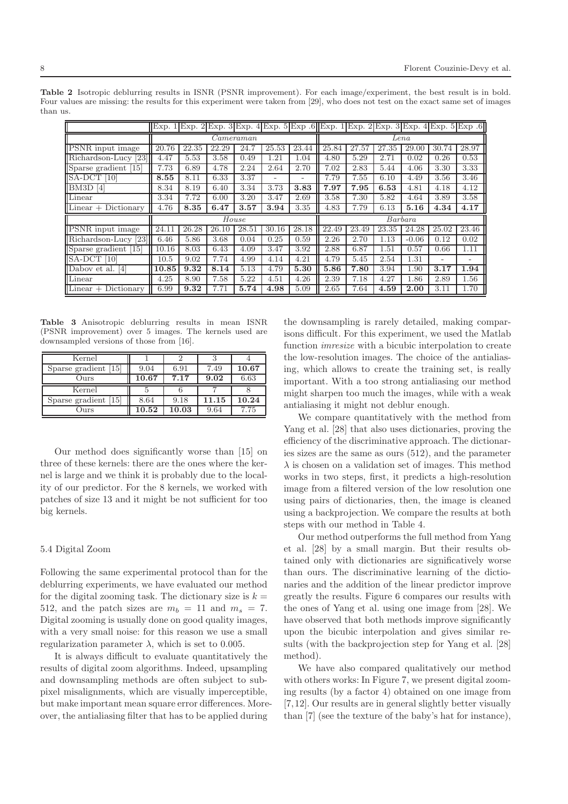|                                     | Exp. 1 Exp. 2 Exp. 2 Exp. 3 Exp. 3 Exp. 4 Exp. 3 Exp. 3 Exp. 2 Exp. 3 Exp. 4 Exp. 5 Exp. 6 |       |       |           |                          |                          |       |       |       |         |       |       |
|-------------------------------------|--------------------------------------------------------------------------------------------|-------|-------|-----------|--------------------------|--------------------------|-------|-------|-------|---------|-------|-------|
|                                     |                                                                                            |       |       | Cameraman |                          |                          |       |       |       | Lena    |       |       |
| <b>PSNR</b> input image             | 20.76                                                                                      | 22.35 | 22.29 | 24.7      | 25.53                    | 23.44                    | 25.84 | 27.57 | 27.35 | 29.00   | 30.74 | 28.97 |
| Richardson-Lucy [23]                | 4.47                                                                                       | 5.53  | 3.58  | 0.49      | 1.21                     | 1.04                     | 4.80  | 5.29  | 2.71  | 0.02    | 0.26  | 0.53  |
| Sparse gradient [15]                | 7.73                                                                                       | 6.89  | 4.78  | 2.24      | 2.64                     | 2.70                     | 7.02  | 2.83  | 5.44  | 4.06    | 3.30  | 3.33  |
| SA-DCT<br>$\lceil 10 \rceil$        | 8.55                                                                                       | 8.11  | 6.33  | 3.37      | $\overline{\phantom{0}}$ | $\overline{\phantom{0}}$ | 7.79  | 7.55  | 6.10  | 4.49    | 3.56  | 3.46  |
| BM3D<br> 4                          | 8.34                                                                                       | 8.19  | 6.40  | 3.34      | 3.73                     | 3.83                     | 7.97  | 7.95  | 6.53  | 4.81    | 4.18  | 4.12  |
| Linear                              | 3.34                                                                                       | 7.72  | 6.00  | 3.20      | 3.47                     | 2.69                     | 3.58  | 7.30  | 5.82  | 4.64    | 3.89  | 3.58  |
| $\text{Linear} + \text{Dictionary}$ | 4.76                                                                                       | 8.35  | 6.47  | 3.57      | 3.94                     | 3.35                     | 4.83  | 7.79  | 6.13  | 5.16    | 4.34  | 4.17  |
|                                     |                                                                                            |       |       | House     |                          |                          |       |       |       | Barbara |       |       |
| <b>PSNR</b> input image             | 24.11                                                                                      | 26.28 | 26.10 | 28.51     | 30.16                    | 28.18                    | 22.49 | 23.49 | 23.35 | 24.28   | 25.02 | 23.46 |
| Richardson-Lucy<br> 23              | 6.46                                                                                       | 5.86  | 3.68  | 0.04      | 0.25                     | 0.59                     | 2.26  | 2.70  | 1.13  | $-0.06$ | 0.12  | 0.02  |
| Sparse gradient [15]                | 10.16                                                                                      | 8.03  | 6.43  | 4.09      | 3.47                     | 3.92                     | 2.88  | 6.87  | 1.51  | 0.57    | 0.66  | 1.11  |
| SA-DCT<br>$\lceil 10 \rceil$        | 10.5                                                                                       | 9.02  | 7.74  | 4.99      | 4.14                     | 4.21                     | 4.79  | 5.45  | 2.54  | 1.31    | ۰     |       |
| Dabov et al.<br>[4]                 | 10.85                                                                                      | 9.32  | 8.14  | 5.13      | 4.79                     | 5.30                     | 5.86  | 7.80  | 3.94  | 1.90    | 3.17  | 1.94  |
| Linear                              | 4.25                                                                                       | 8.90  | 7.58  | 5.22      | 4.51                     | 4.26                     | 2.39  | 7.18  | 4.27  | 1.86    | 2.89  | 1.56  |
| $\Delta$ Linear + Dictionary        | 6.99                                                                                       | 9.32  | 7.71  | 5.74      | 4.98                     | 5.09                     | 2.65  | 7.64  | 4.59  | 2.00    | 3.11  | 1.70  |

Table 2 Isotropic deblurring results in ISNR (PSNR improvement). For each image/experiment, the best result is in bold. Four values are missing: the results for this experiment were taken from [29], who does not test on the exact same set of images than us.

Table 3 Anisotropic deblurring results in mean ISNR (PSNR improvement) over 5 images. The kernels used are downsampled versions of those from [16].

| Kernel                                |       |      |       |       |
|---------------------------------------|-------|------|-------|-------|
| Sparse gradient [15]                  | 9.04  | 6.91 | 7.49  | 10.67 |
| Ours                                  | 10.67 | 7.17 | 9.02  | 6.63  |
|                                       |       |      |       |       |
| Kernel                                |       |      |       |       |
| $\lceil 15 \rceil$<br>Sparse gradient | 8.64  | 9.18 | 11.15 | 10.24 |

Our method does significantly worse than [15] on three of these kernels: there are the ones where the kernel is large and we think it is probably due to the locality of our predictor. For the 8 kernels, we worked with patches of size 13 and it might be not sufficient for too big kernels.

#### 5.4 Digital Zoom

Following the same experimental protocol than for the deblurring experiments, we have evaluated our method for the digital zooming task. The dictionary size is  $k =$ 512, and the patch sizes are  $m_b = 11$  and  $m_s = 7$ . Digital zooming is usually done on good quality images, with a very small noise: for this reason we use a small regularization parameter λ, which is set to 0.005.

It is always difficult to evaluate quantitatively the results of digital zoom algorithms. Indeed, upsampling and downsampling methods are often subject to subpixel misalignments, which are visually imperceptible, but make important mean square error differences. Moreover, the antialiasing filter that has to be applied during

the downsampling is rarely detailed, making comparisons difficult. For this experiment, we used the Matlab function imresize with a bicubic interpolation to create the low-resolution images. The choice of the antialiasing, which allows to create the training set, is really important. With a too strong antialiasing our method might sharpen too much the images, while with a weak antialiasing it might not deblur enough.

We compare quantitatively with the method from Yang et al. [28] that also uses dictionaries, proving the efficiency of the discriminative approach. The dictionaries sizes are the same as ours (512), and the parameter  $\lambda$  is chosen on a validation set of images. This method works in two steps, first, it predicts a high-resolution image from a filtered version of the low resolution one using pairs of dictionaries, then, the image is cleaned using a backprojection. We compare the results at both steps with our method in Table 4.

Our method outperforms the full method from Yang et al. [28] by a small margin. But their results obtained only with dictionaries are significatively worse than ours. The discriminative learning of the dictionaries and the addition of the linear predictor improve greatly the results. Figure 6 compares our results with the ones of Yang et al. using one image from [28]. We have observed that both methods improve significantly upon the bicubic interpolation and gives similar results (with the backprojection step for Yang et al. [28] method).

We have also compared qualitatively our method with others works: In Figure 7, we present digital zooming results (by a factor 4) obtained on one image from [7,12]. Our results are in general slightly better visually than [7] (see the texture of the baby's hat for instance),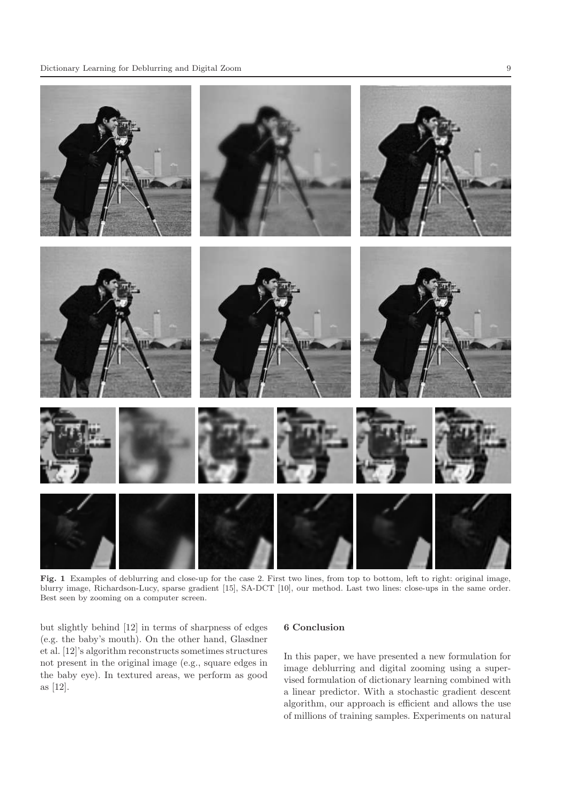

Fig. 1 Examples of deblurring and close-up for the case 2. First two lines, from top to bottom, left to right: original image, blurry image, Richardson-Lucy, sparse gradient [15], SA-DCT [10], our method. Last two lines: close-ups in the same order. Best seen by zooming on a computer screen.

but slightly behind [12] in terms of sharpness of edges (e.g. the baby's mouth). On the other hand, Glasdner et al. [12]'s algorithm reconstructs sometimes structures not present in the original image (e.g., square edges in the baby eye). In textured areas, we perform as good as [12].

## 6 Conclusion

In this paper, we have presented a new formulation for image deblurring and digital zooming using a supervised formulation of dictionary learning combined with a linear predictor. With a stochastic gradient descent algorithm, our approach is efficient and allows the use of millions of training samples. Experiments on natural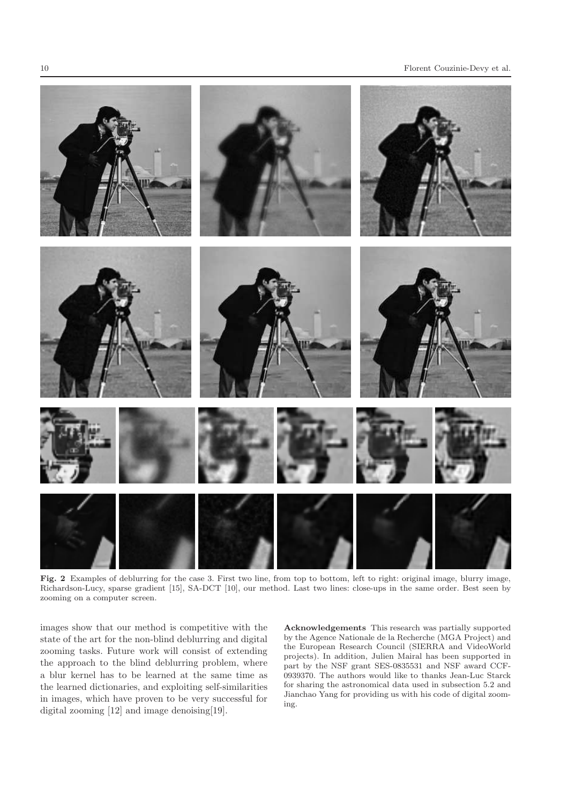

Fig. 2 Examples of deblurring for the case 3. First two line, from top to bottom, left to right: original image, blurry image, Richardson-Lucy, sparse gradient [15], SA-DCT [10], our method. Last two lines: close-ups in the same order. Best seen by zooming on a computer screen.

images show that our method is competitive with the state of the art for the non-blind deblurring and digital zooming tasks. Future work will consist of extending the approach to the blind deblurring problem, where a blur kernel has to be learned at the same time as the learned dictionaries, and exploiting self-similarities in images, which have proven to be very successful for digital zooming [12] and image denoising [19].

Acknowledgements This research was partially supported by the Agence Nationale de la Recherche (MGA Project) and the European Research Council (SIERRA and VideoWorld projects). In addition, Julien Mairal has been supported in part by the NSF grant SES-0835531 and NSF award CCF-0939370. The authors would like to thanks Jean-Luc Starck for sharing the astronomical data used in subsection 5.2 and Jianchao Yang for providing us with his code of digital zooming.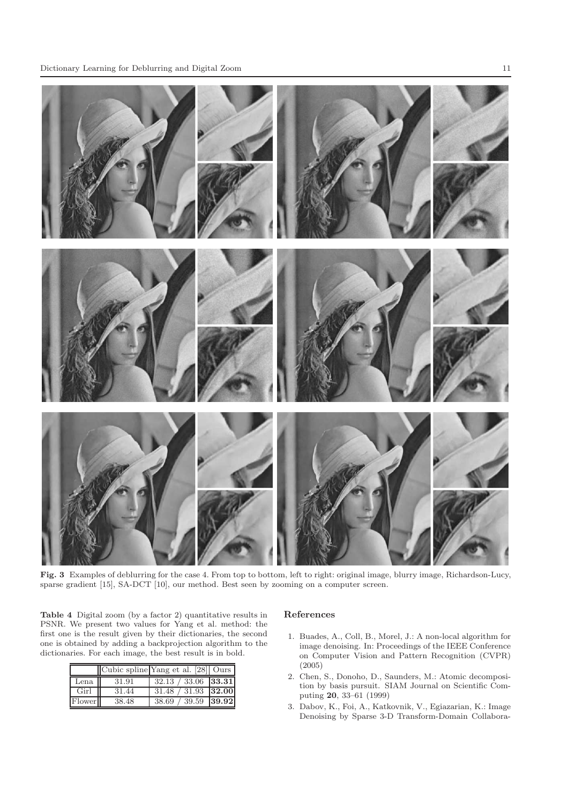

Fig. 3 Examples of deblurring for the case 4. From top to bottom, left to right: original image, blurry image, Richardson-Lucy, sparse gradient [15], SA-DCT [10], our method. Best seen by zooming on a computer screen.

Table 4 Digital zoom (by a factor 2) quantitative results in PSNR. We present two values for Yang et al. method: the first one is the result given by their dictionaries, the second one is obtained by adding a backprojection algorithm to the dictionaries. For each image, the best result is in bold.

|                     |       | Cubic spline Yang et al. [28] Ours |  |
|---------------------|-------|------------------------------------|--|
| Lena                | 31.91 | $32.13 / 33.06$ 33.31              |  |
| Girl II             | 31.44 | $31.48 / 31.93$ 32.00              |  |
| Flower <sup>1</sup> | 38.48 | 38.69 / 39.59 39.92                |  |

#### References

- 1. Buades, A., Coll, B., Morel, J.: A non-local algorithm for image denoising. In: Proceedings of the IEEE Conference on Computer Vision and Pattern Recognition (CVPR) (2005)
- 2. Chen, S., Donoho, D., Saunders, M.: Atomic decomposition by basis pursuit. SIAM Journal on Scientific Computing 20, 33–61 (1999)
- 3. Dabov, K., Foi, A., Katkovnik, V., Egiazarian, K.: Image Denoising by Sparse 3-D Transform-Domain Collabora-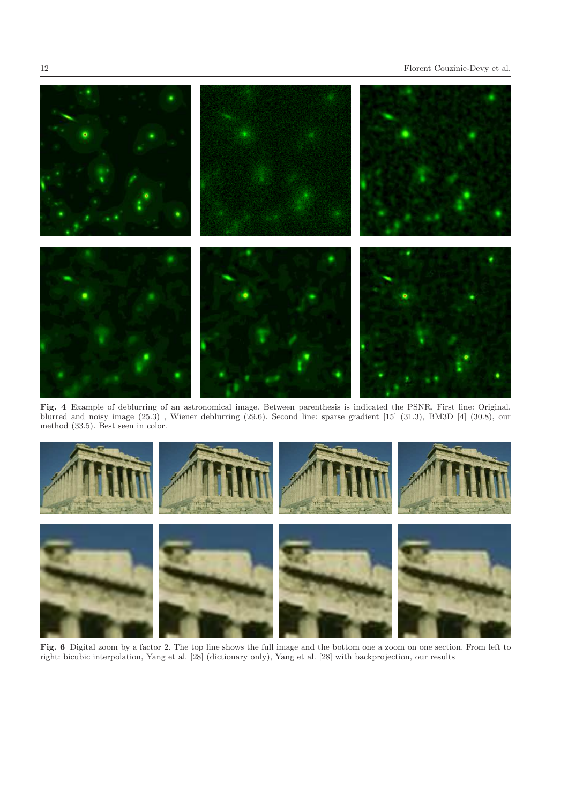

Fig. 4 Example of deblurring of an astronomical image. Between parenthesis is indicated the PSNR. First line: Original, blurred and noisy image (25.3) , Wiener deblurring (29.6). Second line: sparse gradient [15] (31.3), BM3D [4] (30.8), our method (33.5). Best seen in color.



Fig. 6 Digital zoom by a factor 2. The top line shows the full image and the bottom one a zoom on one section. From left to right: bicubic interpolation, Yang et al. [28] (dictionary only), Yang et al. [28] with backprojection, our results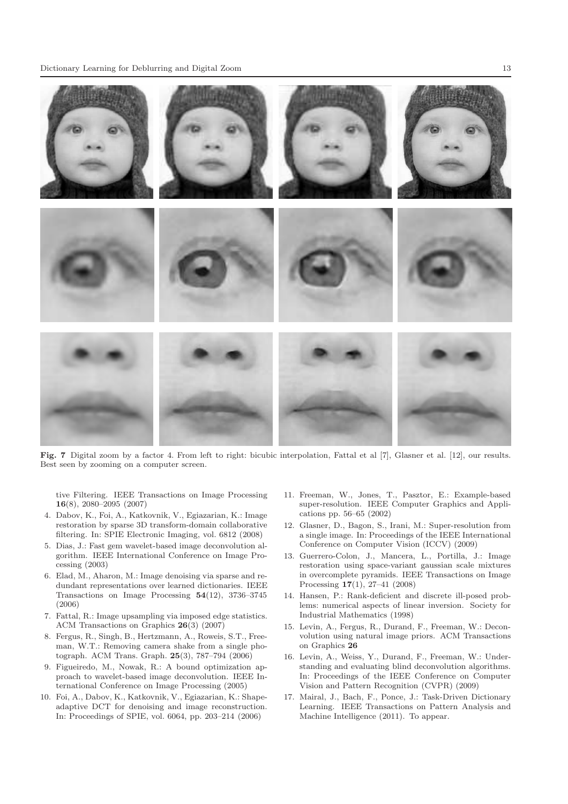

Fig. 7 Digital zoom by a factor 4. From left to right: bicubic interpolation, Fattal et al [7], Glasner et al. [12], our results. Best seen by zooming on a computer screen.

tive Filtering. IEEE Transactions on Image Processing 16(8), 2080–2095 (2007)

- 4. Dabov, K., Foi, A., Katkovnik, V., Egiazarian, K.: Image restoration by sparse 3D transform-domain collaborative filtering. In: SPIE Electronic Imaging, vol. 6812 (2008)
- 5. Dias, J.: Fast gem wavelet-based image deconvolution algorithm. IEEE International Conference on Image Processing (2003)
- 6. Elad, M., Aharon, M.: Image denoising via sparse and redundant representations over learned dictionaries. IEEE Transactions on Image Processing  $54(12)$ ,  $3736-3745$ (2006)
- 7. Fattal, R.: Image upsampling via imposed edge statistics. ACM Transactions on Graphics 26(3) (2007)
- 8. Fergus, R., Singh, B., Hertzmann, A., Roweis, S.T., Freeman, W.T.: Removing camera shake from a single photograph. ACM Trans. Graph. 25(3), 787–794 (2006)
- 9. Figueiredo, M., Nowak, R.: A bound optimization approach to wavelet-based image deconvolution. IEEE International Conference on Image Processing (2005)
- 10. Foi, A., Dabov, K., Katkovnik, V., Egiazarian, K.: Shapeadaptive DCT for denoising and image reconstruction. In: Proceedings of SPIE, vol. 6064, pp. 203–214 (2006)
- 11. Freeman, W., Jones, T., Pasztor, E.: Example-based super-resolution. IEEE Computer Graphics and Applications pp. 56–65 (2002)
- 12. Glasner, D., Bagon, S., Irani, M.: Super-resolution from a single image. In: Proceedings of the IEEE International Conference on Computer Vision (ICCV) (2009)
- 13. Guerrero-Colon, J., Mancera, L., Portilla, J.: Image restoration using space-variant gaussian scale mixtures in overcomplete pyramids. IEEE Transactions on Image Processing 17(1), 27–41 (2008)
- 14. Hansen, P.: Rank-deficient and discrete ill-posed problems: numerical aspects of linear inversion. Society for Industrial Mathematics (1998)
- 15. Levin, A., Fergus, R., Durand, F., Freeman, W.: Deconvolution using natural image priors. ACM Transactions on Graphics 26
- 16. Levin, A., Weiss, Y., Durand, F., Freeman, W.: Understanding and evaluating blind deconvolution algorithms. In: Proceedings of the IEEE Conference on Computer Vision and Pattern Recognition (CVPR) (2009)
- 17. Mairal, J., Bach, F., Ponce, J.: Task-Driven Dictionary Learning. IEEE Transactions on Pattern Analysis and Machine Intelligence (2011). To appear.